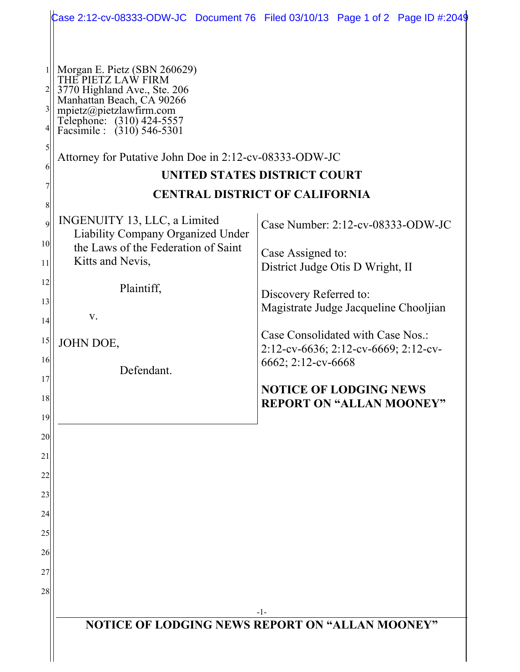|                                                                                                                                                                                                                                                                                                                                                                                                                                                                                                                                                                                 | Case 2:12-cv-08333-ODW-JC Document 76 Filed 03/10/13 Page 1 of 2 Page ID #:2049                                                                                                                                                                                                                                                           |
|---------------------------------------------------------------------------------------------------------------------------------------------------------------------------------------------------------------------------------------------------------------------------------------------------------------------------------------------------------------------------------------------------------------------------------------------------------------------------------------------------------------------------------------------------------------------------------|-------------------------------------------------------------------------------------------------------------------------------------------------------------------------------------------------------------------------------------------------------------------------------------------------------------------------------------------|
| Morgan E. Pietz (SBN 260629)<br>THE PIETZ LAW FIRM<br>3770 Highland Ave., Ste. 206<br>Manhattan Beach, CA 90266<br>$\frac{2}{2}$<br>$3\vert$<br>mpietz@pietzlawfirm.com<br>Telephone: (310) 424-5557<br>Facsimile : (310) 546-5301<br>41<br>5<br>Attorney for Putative John Doe in 2:12-cv-08333-ODW-JC<br>6<br>8<br>INGENUITY 13, LLC, a Limited<br>$\overline{9}$<br>Liability Company Organized Under<br>10 <sup>1</sup><br>the Laws of the Federation of Saint<br>Kitts and Nevis,<br>11<br>12<br>Plaintiff,<br>13<br>V.<br>14<br>15<br>JOHN DOE,<br>16<br>Defendant.<br>17 | UNITED STATES DISTRICT COURT<br><b>CENTRAL DISTRICT OF CALIFORNIA</b><br>Case Number: 2:12-cv-08333-ODW-JC<br>Case Assigned to:<br>District Judge Otis D Wright, II<br>Discovery Referred to:<br>Magistrate Judge Jacqueline Chooljian<br>Case Consolidated with Case Nos.:<br>2:12-cv-6636; 2:12-cv-6669; 2:12-cv-<br>6662; 2:12-cv-6668 |
| 18<br>19<br>20                                                                                                                                                                                                                                                                                                                                                                                                                                                                                                                                                                  | <b>NOTICE OF LODGING NEWS</b><br><b>REPORT ON "ALLAN MOONEY"</b>                                                                                                                                                                                                                                                                          |
| 21<br>22<br>23                                                                                                                                                                                                                                                                                                                                                                                                                                                                                                                                                                  |                                                                                                                                                                                                                                                                                                                                           |
| 24<br>25<br>26                                                                                                                                                                                                                                                                                                                                                                                                                                                                                                                                                                  |                                                                                                                                                                                                                                                                                                                                           |
| 27<br>28                                                                                                                                                                                                                                                                                                                                                                                                                                                                                                                                                                        | -1-                                                                                                                                                                                                                                                                                                                                       |
| <b>NOTICE OF LODGING NEWS REPORT ON "ALLAN MOONEY"</b>                                                                                                                                                                                                                                                                                                                                                                                                                                                                                                                          |                                                                                                                                                                                                                                                                                                                                           |